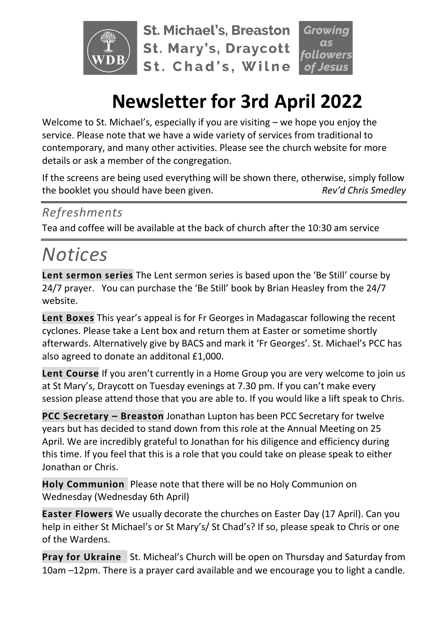

**St. Michael's, Breaston St. Mary's, Draycott** St. Chad's, Wilne

# owers

# **Newsletter for 3rd April 2022**

Welcome to St. Michael's, especially if you are visiting – we hope you enjoy the service. Please note that we have a wide variety of services from traditional to contemporary, and many other activities. Please see the church website for more details or ask a member of the congregation.

If the screens are being used everything will be shown there, otherwise, simply follow the booklet you should have been given. *Rev'd Chris Smedley*

## *Refreshments*

Tea and coffee will be available at the back of church after the 10:30 am service

# *Notices*

**Lent sermon series** The Lent sermon series is based upon the 'Be Still' course by 24/7 prayer. You can purchase the 'Be Still' book by Brian Heasley from the 24/7 website.

**Lent Boxes** This year's appeal is for Fr Georges in Madagascar following the recent cyclones. Please take a Lent box and return them at Easter or sometime shortly afterwards. Alternatively give by BACS and mark it 'Fr Georges'. St. Michael's PCC has also agreed to donate an additonal £1,000.

**Lent Course** If you aren't currently in a Home Group you are very welcome to join us at St Mary's, Draycott on Tuesday evenings at 7.30 pm. If you can't make every session please attend those that you are able to. If you would like a lift speak to Chris.

**PCC Secretary – Breaston** Jonathan Lupton has been PCC Secretary for twelve years but has decided to stand down from this role at the Annual Meeting on 25 April. We are incredibly grateful to Jonathan for his diligence and efficiency during this time. If you feel that this is a role that you could take on please speak to either Jonathan or Chris.

**Holy Communion** Please note that there will be no Holy Communion on Wednesday (Wednesday 6th April)

**Easter Flowers** We usually decorate the churches on Easter Day (17 April). Can you help in either St Michael's or St Mary's/ St Chad's? If so, please speak to Chris or one of the Wardens.

**Pray for Ukraine** St. Micheal's Church will be open on Thursday and Saturday from 10am –12pm. There is a prayer card available and we encourage you to light a candle.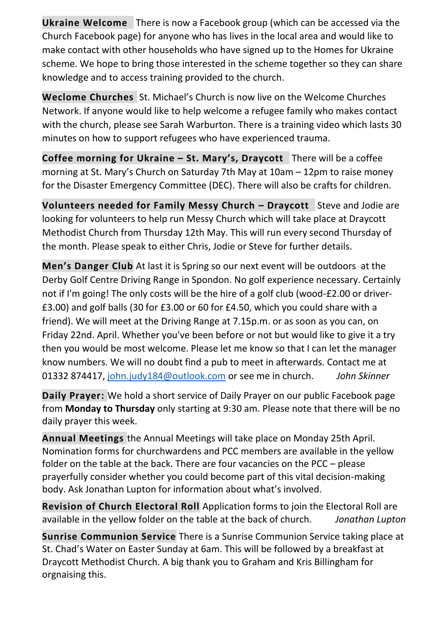**Ukraine Welcome** There is now a Facebook group (which can be accessed via the Church Facebook page) for anyone who has lives in the local area and would like to make contact with other households who have signed up to the Homes for Ukraine scheme. We hope to bring those interested in the scheme together so they can share knowledge and to access training provided to the church.

**Weclome Churches** St. Michael's Church is now live on the Welcome Churches Network. If anyone would like to help welcome a refugee family who makes contact with the church, please see Sarah Warburton. There is a training video which lasts 30 minutes on how to support refugees who have experienced trauma.

**Coffee morning for Ukraine – St. Mary's, Draycott** There will be a coffee morning at St. Mary's Church on Saturday 7th May at 10am – 12pm to raise money for the Disaster Emergency Committee (DEC). There will also be crafts for children.

**Volunteers needed for Family Messy Church – Draycott** Steve and Jodie are looking for volunteers to help run Messy Church which will take place at Draycott Methodist Church from Thursday 12th May. This will run every second Thursday of the month. Please speak to either Chris, Jodie or Steve for further details.

**Men's Danger Club** At last it is Spring so our next event will be outdoors at the Derby Golf Centre Driving Range in Spondon. No golf experience necessary. Certainly not if I'm going! The only costs will be the hire of a golf club (wood-£2.00 or driver- £3.00) and golf balls (30 for £3.00 or 60 for £4.50, which you could share with a friend). We will meet at the Driving Range at 7.15p.m. or as soon as you can, on Friday 22nd. April. Whether you've been before or not but would like to give it a try then you would be most welcome. Please let me know so that I can let the manager know numbers. We will no doubt find a pub to meet in afterwards. Contact me at 01332 874417, [john.judy184@outlook.com](mailto:john.judy184@outlook.com) or see me in church. *John Skinner*

**Daily Prayer:** We hold a short service of Daily Prayer on our public Facebook page from **Monday to Thursday** only starting at 9:30 am. Please note that there will be no daily prayer this week.

**Annual Meetings** the Annual Meetings will take place on Monday 25th April. Nomination forms for churchwardens and PCC members are available in the yellow folder on the table at the back. There are four vacancies on the PCC – please prayerfully consider whether you could become part of this vital decision-making body. Ask Jonathan Lupton for information about what's involved.

**Revision of Church Electoral Roll** Application forms to join the Electoral Roll are available in the yellow folder on the table at the back of church. *Jonathan Lupton*

**Sunrise Communion Service** There is a Sunrise Communion Service taking place at St. Chad's Water on Easter Sunday at 6am. This will be followed by a breakfast at Draycott Methodist Church. A big thank you to Graham and Kris Billingham for orgnaising this.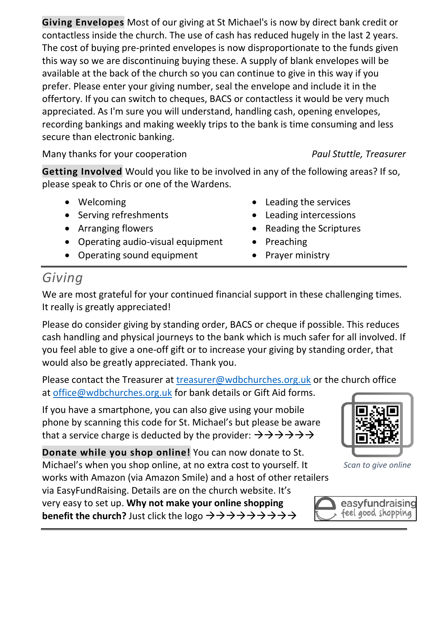**Giving Envelopes** Most of our giving at St Michael's is now by direct bank credit or contactless inside the church. The use of cash has reduced hugely in the last 2 years. The cost of buying pre-printed envelopes is now disproportionate to the funds given this way so we are discontinuing buying these. A supply of blank envelopes will be available at the back of the church so you can continue to give in this way if you prefer. Please enter your giving number, seal the envelope and include it in the offertory. If you can switch to cheques, BACS or contactless it would be very much appreciated. As I'm sure you will understand, handling cash, opening envelopes, recording bankings and making weekly trips to the bank is time consuming and less secure than electronic banking.

Many thanks for your cooperation *Paul Stuttle, Treasurer*

**Getting Involved** Would you like to be involved in any of the following areas? If so, please speak to Chris or one of the Wardens.

- Welcoming
- Serving refreshments
- Arranging flowers
- Operating audio-visual equipment
- Operating sound equipment
- Leading the services
- Leading intercessions
- Reading the Scriptures
- Preaching
- Prayer ministry

## *Giving*

We are most grateful for your continued financial support in these challenging times. It really is greatly appreciated!

Please do consider giving by standing order, BACS or cheque if possible. This reduces cash handling and physical journeys to the bank which is much safer for all involved. If you feel able to give a one-off gift or to increase your giving by standing order, that would also be greatly appreciated. Thank you.

Please contact the Treasurer at [treasurer@wdbchurches.org.uk](mailto:treasurer@wdbchurches.org.uk) or the church office at [office@wdbchurches.org.uk](mailto:office@wdbchurches.org.uk) for bank details or Gift Aid forms.

If you have a smartphone, you can also give using your mobile phone by scanning this code for St. Michael's but please be aware that a service charge is deducted by the provider:  $\rightarrow \rightarrow \rightarrow \rightarrow \rightarrow \rightarrow$ 

**Donate while you shop online!** You can now donate to St. Michael's when you shop online, at no extra cost to yourself. It

works with Amazon (via Amazon Smile) and a host of other retailers via EasyFundRaising. Details are on the [church website](http://www.stmichaelsbreaston.org.uk/index.php/113-news/236-giving-online). It's very easy to set up. **Why not make your online shopping benefit the church?** Just click the logo →→→→→→→→→



*Scan to give online*